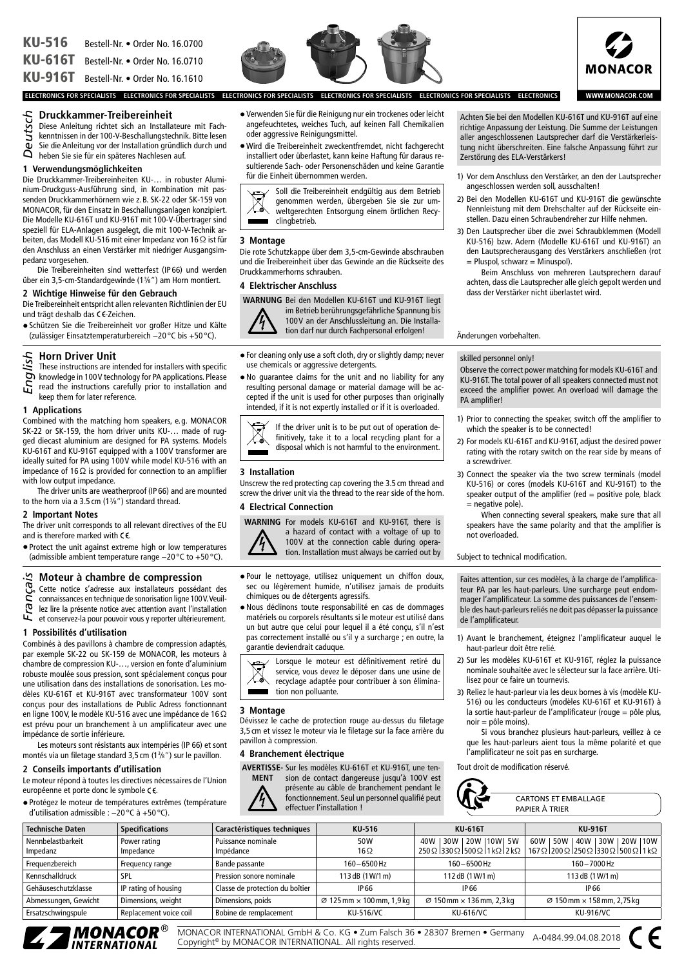KU-516 Bestell-Nr. *•* Order No. 16.0700

KU-616T Bestell-Nr. *•* Order No. 16.0710

KU-916T Bestell-Nr. *•* Order No. 16.1610

# **Druckkammer-Treibereinheit**

- Diese Anleitung richtet sich an Installateure mit Fach-
- kenntnissen in der 100-V-Beschallungstechnik. Bitte lesen
- Sie die Anleitung vor der Installation gründlich durch und heben Sie sie für ein späteres Nachlesen auf. *Deutsch*

# **1 Verwendungsmöglichkeiten**

Die Druckkammer-Treibereinheiten KU-… in robuster Aluminium-Druckguss-Ausführung sind, in Kombination mit passenden Druckkammerhörnern wie z.B. SK-22 oder SK-159 von MONACOR, für den Einsatz in Beschallungsanlagen konzipiert. Die Modelle KU-616T und KU-916T mit 100-V-Übertrager sind speziell für ELA-Anlagen ausgelegt, die mit 100-V-Technik arbeiten, das Modell KU-516 mit einer Impedanz von 16Ω ist für den Anschluss an einen Verstärker mit niedriger Ausgangsimpedanz vorgesehen.

Die Treibereinheiten sind wetterfest (IP 66) und werden über ein 3,5-cm-Standardgewinde (13 ⁄8") am Horn montiert.

# **2 Wichtige Hinweise für den Gebrauch**

Die Treibereinheit entspricht allen relevanten Richtlinien der EU und trägt deshalb das CE-Zeichen.

•Schützen Sie die Treibereinheit vor großer Hitze und Kälte (zulässiger Einsatztemperaturbereich −20 °C bis +50 °C).

# **Horn Driver Unit**

These instructions are intended for installers with specific knowledge in 100V technology for PA applications. Please *English*

read the instructions carefully prior to installation and keep them for later reference.

# **1 Applications**

Combined with the matching horn speakers, e.g. MONACOR SK-22 or SK-159, the horn driver units KU-… made of rugged diecast aluminium are designed for PA systems. Models KU-616T and KU-916T equipped with a 100V transformer are ideally suited for PA using 100V while model KU-516 with an impedance of 16Ω is provided for connection to an amplifier with low output impedance.

The driver units are weatherproof (IP 66) and are mounted to the horn via a 3.5 cm (13 ⁄8") standard thread.

#### **2 Important Notes**

The driver unit corresponds to all relevant directives of the EU and is therefore marked with  $C \in$ .

•Protect the unit against extreme high or low temperatures (admissible ambient temperature range −20 °C to +50 °C).

# **Moteur à chambre de compression**

Cette notice s'adresse aux installateurs possédant des

connaissances en technique de sonorisation ligne 100V. Veuil-

lez lire la présente notice avec attention avant l'installation et conservez-la pour pouvoir vous y reporter ultérieurement. *Français*

# **1 Possibilités d'utilisation**

Combinés à des pavillons à chambre de compression adaptés, par exemple SK-22 ou SK-159 de MONACOR, les moteurs à chambre de compression KU-…, version en fonte d'aluminium robuste moulée sous pression, sont spécialement conçus pour une utilisation dans des installations de sonorisation. Les modèles KU-616T et KU-916T avec transformateur 100V sont conçus pour des installations de Public Adress fonctionnant en ligne 100V, le modèle KU-516 avec une impédance de 16Ω est prévu pour un branchement à un amplificateur avec une impédance de sortie inférieure.

Les moteurs sont résistants aux intempéries (IP 66) et sont montés via un filetage standard 3,5 cm (13 ⁄8") sur le pavillon.

# **2 Conseils importants d'utilisation**

Le moteur répond à toutes les directives nécessaires de l'Union européenne et porte donc le symbole CE.

•Protégez le moteur de températures extrêmes (température d'utilisation admissible : −20 °C à +50 °C).

- Verwenden Sie für die Reinigung nur ein trockenes oder leicht angefeuchtetes, weiches Tuch, auf keinen Fall Chemikalien oder aggressive Reinigungsmittel.
- •Wird die Treibereinheit zweckentfremdet, nicht fachgerecht installiert oder überlastet, kann keine Haftung für daraus resultierende Sach- oder Personenschäden und keine Garantie für die Einheit übernommen werden.

Soll die Treibereinheit endgültig aus dem Betrieb  $\boxtimes$ genommen werden, übergeben Sie sie zur umweltgerechten Entsorgung einem örtlichen Recyclingbetrieb.

#### **3 Montage**

Die rote Schutzkappe über dem 3,5-cm-Gewinde abschrauben und die Treibereinheit über das Gewinde an die Rückseite des Druckkammerhorns schrauben.

# **4 Elektrischer Anschluss**

**WARNUNG** Bei den Modellen KU-616T und KU-916T liegt



im Betrieb berührungsgefährliche Spannung bis 100V an der Anschlussleitung an. Die Installation darf nur durch Fachpersonal erfolgen!

- •For cleaning only use a soft cloth, dry or slightly damp; never use chemicals or aggressive detergents.
- •No guarantee claims for the unit and no liability for any resulting personal damage or material damage will be accepted if the unit is used for other purposes than originally intended, if it is not expertly installed or if it is overloaded.



# **3 Installation**

Unscrew the red protecting cap covering the 3.5 cm thread and screw the driver unit via the thread to the rear side of the horn.

# **4 Electrical Connection**

**WARNING** For models KU-616T and KU-916T, there is a hazard of contact with a voltage of up to 100V at the connection cable during operation. Installation must always be carried out by

- •Pour le nettoyage, utilisez uniquement un chiffon doux, sec ou légèrement humide, n'utilisez jamais de produits chimiques ou de détergents agressifs.
- •Nous déclinons toute responsabilité en cas de dommages matériels ou corporels résultants si le moteur est utilisé dans un but autre que celui pour lequel il a été conçu, s'il n'est pas correctement installé ou s'il y a surcharge ; en outre, la garantie deviendrait caduque.



# **3 Montage**

Dévissez le cache de protection rouge au-dessus du filetage 3,5 cm et vissez le moteur via le filetage sur la face arrière du pavillon à compression.

# **4 Branchement électrique**

**AVERTISSE-**Sur les modèles KU-616T et KU-916T, une ten-



sion de contact dangereuse jusqu'à 100V est présente au câble de branchement pendant le fonctionnement. Seul un personnel qualifié peut effectuer l'installation !

Achten Sie bei den Modellen KU-616T und KU-916T auf eine richtige Anpassung der Leistung. Die Summe der Leistungen aller angeschlossenen Lautsprecher darf die Verstärkerleistung nicht überschreiten. Eine falsche Anpassung führt zur Zerstörung des ELA-Verstärkers!

- 1) Vor dem Anschluss den Verstärker, an den der Lautsprecher angeschlossen werden soll, ausschalten!
- 2) Bei den Modellen KU-616T und KU-916T die gewünschte Nennleistung mit dem Drehschalter auf der Rückseite einstellen. Dazu einen Schraubendreher zur Hilfe nehmen.
- 3) Den Lautsprecher über die zwei Schraubklemmen (Modell KU-516) bzw. Adern (Modelle KU-616T und KU-916T) an den Lautsprecherausgang des Verstärkers anschließen (rot  $=$  Pluspol, schwarz  $=$  Minuspol).

Beim Anschluss von mehreren Lautsprechern darauf achten, dass die Lautsprecher alle gleich gepolt werden und dass der Verstärker nicht überlastet wird.

Änderungen vorbehalten.

#### skilled personnel only!

Observe the correct power matching for models KU-616T and KU-916T. The total power of all speakers connected must not exceed the amplifier power. An overload will damage the PA amplifier!

- 1) Prior to connecting the speaker, switch off the amplifier to which the speaker is to be connected!
- 2) For models KU-616T and KU-916T, adjust the desired power rating with the rotary switch on the rear side by means of a screwdriver.
- 3) Connect the speaker via the two screw terminals (model KU-516) or cores (models KU-616T and KU-916T) to the speaker output of the amplifier (red = positive pole, black = negative pole).
	- When connecting several speakers, make sure that all speakers have the same polarity and that the amplifier is not overloaded.

Subject to technical modification.

Faites attention, sur ces modèles, à la charge de l'amplificateur PA par les haut-parleurs. Une surcharge peut endommager l'amplificateur. La somme des puissances de l'ensemble des haut-parleurs reliés ne doit pas dépasser la puissance de l'amplificateur.

- 1) Avant le branchement, éteignez l'amplificateur auquel le haut-parleur doit être relié.
- 2) Sur les modèles KU-616T et KU-916T, réglez la puissance nominale souhaitée avec le sélecteur sur la face arrière. Utilisez pour ce faire un tournevis.
- 3) Reliez le haut-parleur via les deux bornes à vis (modèle KU-516) ou les conducteurs (modèles KU-616T et KU-916T) à la sortie haut-parleur de l'amplificateur (rouge = pôle plus, noir = pôle moins).

Si vous branchez plusieurs haut-parleurs, veillez à ce que les haut-parleurs aient tous la même polarité et que l'amplificateur ne soit pas en surcharge.

Tout droit de modification réservé.



| <b>CARTONS ET EMBALLAGE</b> |
|-----------------------------|
| PAPIFR À TRIFR              |

| <b>Technische Daten</b> | <b>Specifications</b>  | Caractéristiques techniques     | KU-516                                       | KU-616T                                      | KU-916T                                                                                                                                                  |
|-------------------------|------------------------|---------------------------------|----------------------------------------------|----------------------------------------------|----------------------------------------------------------------------------------------------------------------------------------------------------------|
| Nennbelastbarkeit       | Power rating           | Puissance nominale              | 50W                                          | 20W 110W 5W<br>40W<br>30W                    | 30W   20W   10W<br>50W<br>40W<br>60W                                                                                                                     |
| Impedanz                | Impedance              | Impédance                       | $16\Omega$                                   |                                              | $250\Omega$  330 $\Omega$  500 $\Omega$  1 k $\Omega$  2 k $\Omega$   167 $\Omega$  200 $\Omega$  250 $\Omega$  330 $\Omega$  500 $\Omega$  1 k $\Omega$ |
| Frequenzbereich         | Frequency range        | Bande passante                  | $160 - 6500$ Hz                              | $160 - 6500$ Hz                              | 160-7000 Hz                                                                                                                                              |
| Kennschalldruck         | <b>SPL</b>             | Pression sonore nominale        | 113 dB (1 W/1 m)                             | 112 dB (1 W/1 m)                             | 113 dB (1W/1 m)                                                                                                                                          |
| Gehäuseschutzklasse     | IP rating of housing   | Classe de protection du boîtier | IP 66                                        | <b>IP66</b>                                  | <b>IP66</b>                                                                                                                                              |
| Abmessungen, Gewicht    | Dimensions, weight     | Dimensions, poids               | $\varnothing$ 125 mm $\times$ 100 mm, 1,9 kg | $\varnothing$ 150 mm $\times$ 136 mm, 2,3 kg | $\varnothing$ 150 mm $\times$ 158 mm, 2,75 kg                                                                                                            |
| Ersatzschwingspule      | Replacement voice coil | Bobine de remplacement          | <b>KU-516/VC</b>                             | <b>KU-616/VC</b>                             | <b>KU-916/VC</b>                                                                                                                                         |
|                         |                        |                                 |                                              |                                              |                                                                                                                                                          |



MONACOR INTERNATIONAL GmbH & Co. KG • Zum Falsch 36 • 28307 Bremen • Germany MUNACOR INTERNATIONAL GMDH & CO. KG ● Zum Faisch 36 ● 28307 Bremen ● Germany<br>Copyright® by MONACOR INTERNATIONAL. All rights reserved.





**WWW.MONACOR.COM** 

**ELECTRONICS FOR SPECIALISTS ELECTRONICS FOR SPECIALISTS ELECTRONICS FOR SPECIALISTS ELECTRONICS FOR SPECIALISTS ELECTRONICS FOR SPECIALISTS ELECTRONICS**